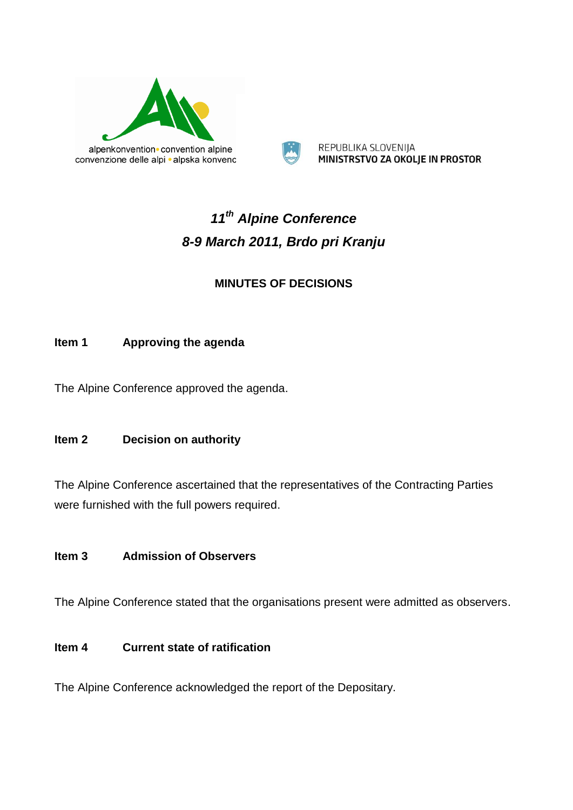



REPUBLIKA SLOVENIJA MINISTRSTVO ZA OKOLJE IN PROSTOR

# *11th Alpine Conference 8-9 March 2011, Brdo pri Kranju*

### **MINUTES OF DECISIONS**

#### **Item 1 Approving the agenda**

The Alpine Conference approved the agenda.

#### **Item 2 Decision on authority**

The Alpine Conference ascertained that the representatives of the Contracting Parties were furnished with the full powers required.

#### **Item 3 Admission of Observers**

The Alpine Conference stated that the organisations present were admitted as observers.

#### **Item 4 Current state of ratification**

The Alpine Conference acknowledged the report of the Depositary.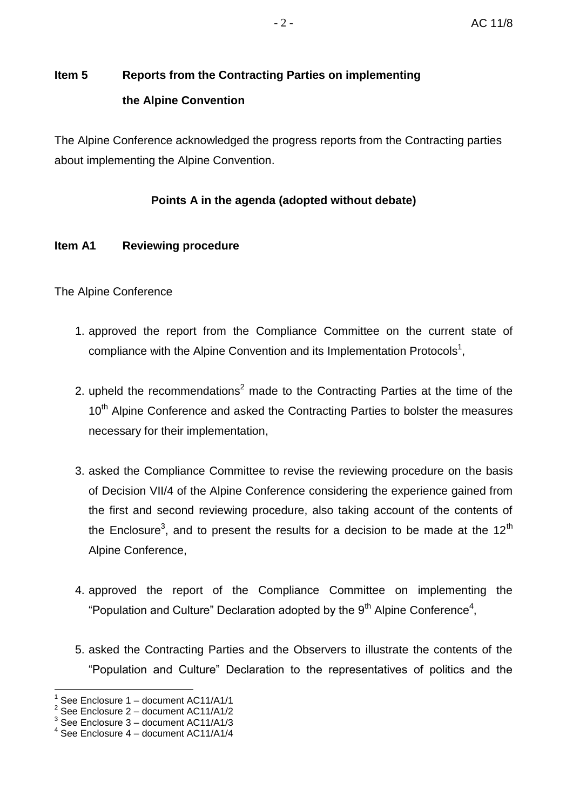# **Item 5 Reports from the Contracting Parties on implementing the Alpine Convention**

The Alpine Conference acknowledged the progress reports from the Contracting parties about implementing the Alpine Convention.

#### **Points A in the agenda (adopted without debate)**

#### **Item A1 Reviewing procedure**

The Alpine Conference

- 1. approved the report from the Compliance Committee on the current state of compliance with the Alpine Convention and its Implementation Protocols<sup>1</sup>,
- 2. upheld the recommendations<sup>2</sup> made to the Contracting Parties at the time of the 10<sup>th</sup> Alpine Conference and asked the Contracting Parties to bolster the measures necessary for their implementation,
- 3. asked the Compliance Committee to revise the reviewing procedure on the basis of Decision VII/4 of the Alpine Conference considering the experience gained from the first and second reviewing procedure, also taking account of the contents of the Enclosure<sup>3</sup>, and to present the results for a decision to be made at the 12<sup>th</sup> Alpine Conference,
- 4. approved the report of the Compliance Committee on implementing the "Population and Culture" Declaration adopted by the  $9<sup>th</sup>$  Alpine Conference<sup>4</sup>,
- 5. asked the Contracting Parties and the Observers to illustrate the contents of the "Population and Culture" Declaration to the representatives of politics and the

<sup>1</sup> See Enclosure 1 – document AC11/A1/1

 $2^{2}$  See Enclosure 2 – document AC11/A1/2

 $3$  See Enclosure  $3$  – document AC11/A1/3

<sup>4</sup> See Enclosure 4 – document AC11/A1/4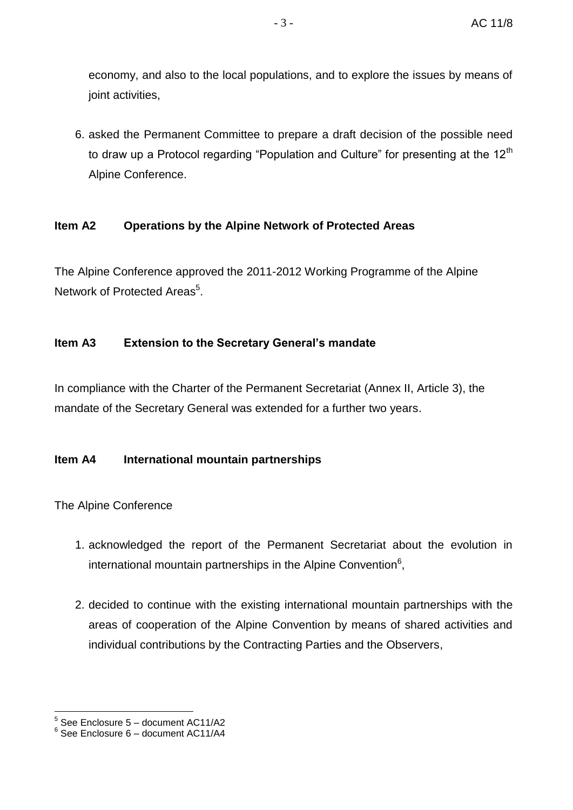economy, and also to the local populations, and to explore the issues by means of joint activities,

6. asked the Permanent Committee to prepare a draft decision of the possible need to draw up a Protocol regarding "Population and Culture" for presenting at the  $12<sup>th</sup>$ Alpine Conference.

#### **Item A2 Operations by the Alpine Network of Protected Areas**

The Alpine Conference approved the 2011-2012 Working Programme of the Alpine Network of Protected Areas<sup>5</sup>.

#### **Item A3 Extension to the Secretary General's mandate**

In compliance with the Charter of the Permanent Secretariat (Annex II, Article 3), the mandate of the Secretary General was extended for a further two years.

#### **Item A4 International mountain partnerships**

- 1. acknowledged the report of the Permanent Secretariat about the evolution in international mountain partnerships in the Alpine Convention<sup>6</sup>,
- 2. decided to continue with the existing international mountain partnerships with the areas of cooperation of the Alpine Convention by means of shared activities and individual contributions by the Contracting Parties and the Observers,

<sup>1</sup> 5 See Enclosure 5 – document AC11/A2

 $6$  See Enclosure 6 – document AC11/A4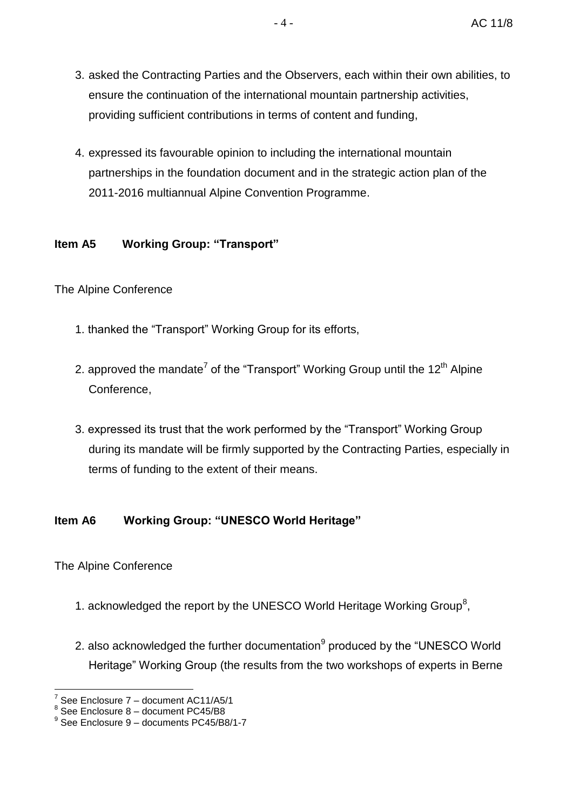- 3. asked the Contracting Parties and the Observers, each within their own abilities, to ensure the continuation of the international mountain partnership activities, providing sufficient contributions in terms of content and funding,
- 4. expressed its favourable opinion to including the international mountain partnerships in the foundation document and in the strategic action plan of the 2011-2016 multiannual Alpine Convention Programme.

#### **Item A5 Working Group: "Transport"**

#### The Alpine Conference

- 1. thanked the "Transport" Working Group for its efforts,
- 2. approved the mandate<sup>7</sup> of the "Transport" Working Group until the 12<sup>th</sup> Alpine Conference,
- 3. expressed its trust that the work performed by the "Transport" Working Group during its mandate will be firmly supported by the Contracting Parties, especially in terms of funding to the extent of their means.

#### **Item A6 Working Group: "UNESCO World Heritage"**

- 1. acknowledged the report by the UNESCO World Heritage Working Group<sup>8</sup>,
- 2. also acknowledged the further documentation<sup>9</sup> produced by the "UNESCO World Heritage" Working Group (the results from the two workshops of experts in Berne

<sup>&</sup>lt;u>.</u> 7 See Enclosure 7 – document AC11/A5/1

 $<sup>8</sup>$  See Enclosure 8 – document PC45/B8</sup>

<sup>9</sup> See Enclosure 9 – documents PC45/B8/1-7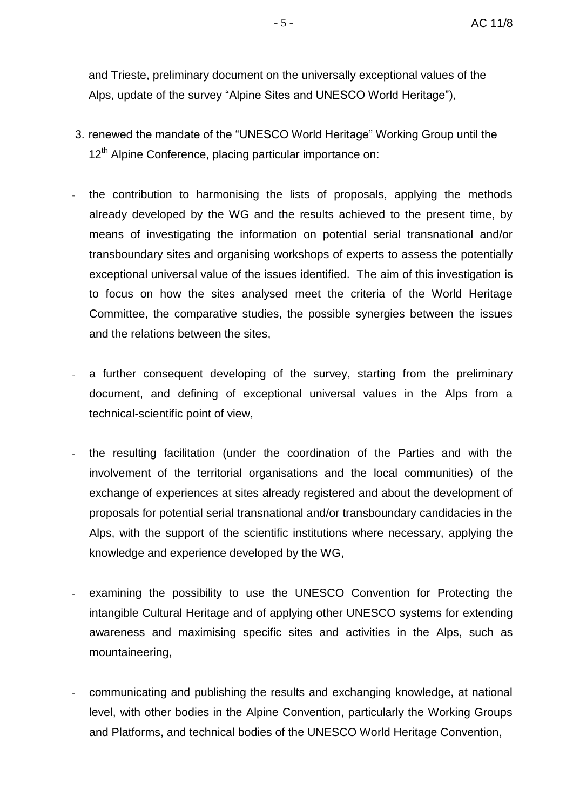and Trieste, preliminary document on the universally exceptional values of the Alps, update of the survey "Alpine Sites and UNESCO World Heritage"),

- 3. renewed the mandate of the "UNESCO World Heritage" Working Group until the 12<sup>th</sup> Alpine Conference, placing particular importance on:
- the contribution to harmonising the lists of proposals, applying the methods already developed by the WG and the results achieved to the present time, by means of investigating the information on potential serial transnational and/or transboundary sites and organising workshops of experts to assess the potentially exceptional universal value of the issues identified. The aim of this investigation is to focus on how the sites analysed meet the criteria of the World Heritage Committee, the comparative studies, the possible synergies between the issues and the relations between the sites,
- a further consequent developing of the survey, starting from the preliminary document, and defining of exceptional universal values in the Alps from a technical-scientific point of view,
- the resulting facilitation (under the coordination of the Parties and with the involvement of the territorial organisations and the local communities) of the exchange of experiences at sites already registered and about the development of proposals for potential serial transnational and/or transboundary candidacies in the Alps, with the support of the scientific institutions where necessary, applying the knowledge and experience developed by the WG,
- examining the possibility to use the UNESCO Convention for Protecting the intangible Cultural Heritage and of applying other UNESCO systems for extending awareness and maximising specific sites and activities in the Alps, such as mountaineering,
- communicating and publishing the results and exchanging knowledge, at national level, with other bodies in the Alpine Convention, particularly the Working Groups and Platforms, and technical bodies of the UNESCO World Heritage Convention,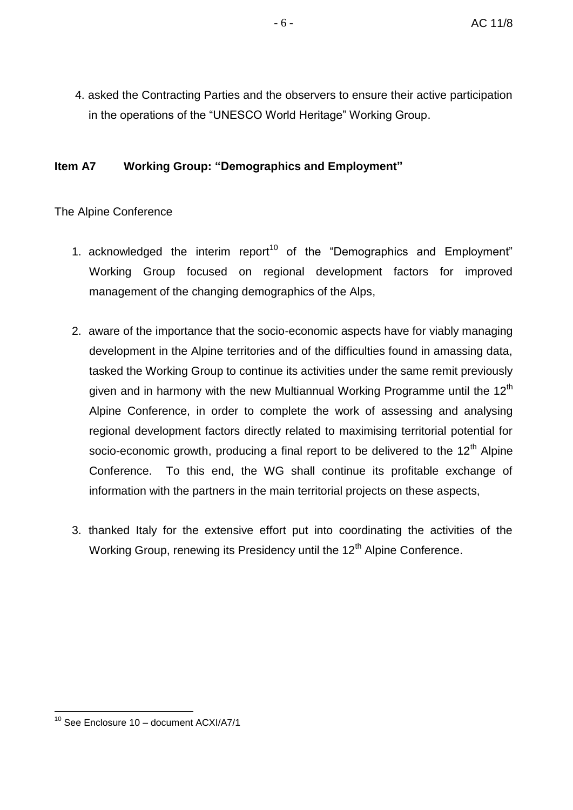4. asked the Contracting Parties and the observers to ensure their active participation in the operations of the "UNESCO World Heritage" Working Group.

#### **Item A7 Working Group: "Demographics and Employment"**

- 1. acknowledged the interim report<sup>10</sup> of the "Demographics and Employment" Working Group focused on regional development factors for improved management of the changing demographics of the Alps,
- 2. aware of the importance that the socio-economic aspects have for viably managing development in the Alpine territories and of the difficulties found in amassing data, tasked the Working Group to continue its activities under the same remit previously given and in harmony with the new Multiannual Working Programme until the 12<sup>th</sup> Alpine Conference, in order to complete the work of assessing and analysing regional development factors directly related to maximising territorial potential for socio-economic growth, producing a final report to be delivered to the  $12<sup>th</sup>$  Alpine Conference. To this end, the WG shall continue its profitable exchange of information with the partners in the main territorial projects on these aspects,
- 3. thanked Italy for the extensive effort put into coordinating the activities of the Working Group, renewing its Presidency until the 12<sup>th</sup> Alpine Conference.

<sup>1</sup>  $10$  See Enclosure 10 – document ACXI/A7/1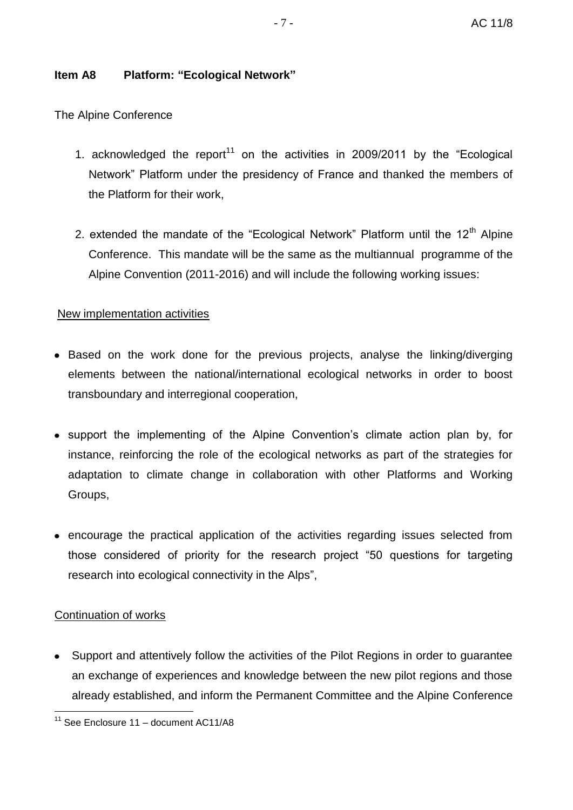### **Item A8 Platform: "Ecological Network"**

The Alpine Conference

- 1. acknowledged the report<sup>11</sup> on the activities in 2009/2011 by the "Ecological Network" Platform under the presidency of France and thanked the members of the Platform for their work,
- 2. extended the mandate of the "Ecological Network" Platform until the  $12<sup>th</sup>$  Alpine Conference. This mandate will be the same as the multiannual programme of the Alpine Convention (2011-2016) and will include the following working issues:

### New implementation activities

- Based on the work done for the previous projects, analyse the linking/diverging elements between the national/international ecological networks in order to boost transboundary and interregional cooperation,
- support the implementing of the Alpine Convention's climate action plan by, for instance, reinforcing the role of the ecological networks as part of the strategies for adaptation to climate change in collaboration with other Platforms and Working Groups,
- encourage the practical application of the activities regarding issues selected from those considered of priority for the research project "50 questions for targeting research into ecological connectivity in the Alps",

### Continuation of works

Support and attentively follow the activities of the Pilot Regions in order to guarantee an exchange of experiences and knowledge between the new pilot regions and those already established, and inform the Permanent Committee and the Alpine Conference

<sup>1</sup>  $11$  See Enclosure 11 – document AC11/A8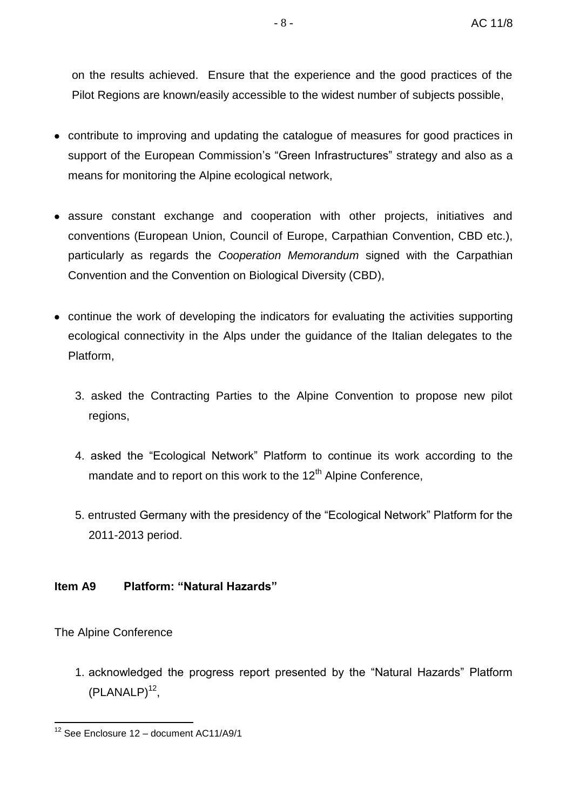on the results achieved. Ensure that the experience and the good practices of the Pilot Regions are known/easily accessible to the widest number of subjects possible,

- contribute to improving and updating the catalogue of measures for good practices in support of the European Commission's "Green Infrastructures" strategy and also as a means for monitoring the Alpine ecological network,
- assure constant exchange and cooperation with other projects, initiatives and conventions (European Union, Council of Europe, Carpathian Convention, CBD etc.), particularly as regards the *Cooperation Memorandum* signed with the Carpathian Convention and the Convention on Biological Diversity (CBD),
- continue the work of developing the indicators for evaluating the activities supporting ecological connectivity in the Alps under the guidance of the Italian delegates to the Platform,
	- 3. asked the Contracting Parties to the Alpine Convention to propose new pilot regions,
	- 4. asked the "Ecological Network" Platform to continue its work according to the mandate and to report on this work to the 12<sup>th</sup> Alpine Conference,
	- 5. entrusted Germany with the presidency of the "Ecological Network" Platform for the 2011-2013 period.

#### **Item A9 Platform: "Natural Hazards"**

The Alpine Conference

1. acknowledged the progress report presented by the "Natural Hazards" Platform  $(PLANALP)^{12}$ ,

<sup>&</sup>lt;u>.</u>  $12$  See Enclosure 12 – document AC11/A9/1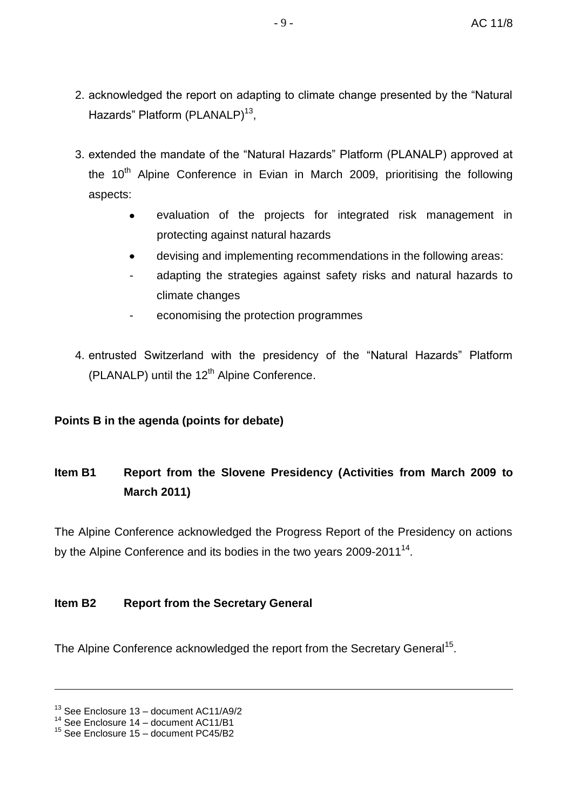- 2. acknowledged the report on adapting to climate change presented by the "Natural Hazards" Platform (PLANALP)<sup>13</sup>,
- 3. extended the mandate of the "Natural Hazards" Platform (PLANALP) approved at the  $10<sup>th</sup>$  Alpine Conference in Evian in March 2009, prioritising the following aspects:
	- evaluation of the projects for integrated risk management in  $\bullet$ protecting against natural hazards
	- devising and implementing recommendations in the following areas:  $\bullet$
	- adapting the strategies against safety risks and natural hazards to climate changes
	- economising the protection programmes
- 4. entrusted Switzerland with the presidency of the "Natural Hazards" Platform (PLANALP) until the  $12<sup>th</sup>$  Alpine Conference.

#### **Points B in the agenda (points for debate)**

# **Item B1 Report from the Slovene Presidency (Activities from March 2009 to March 2011)**

The Alpine Conference acknowledged the Progress Report of the Presidency on actions by the Alpine Conference and its bodies in the two years  $2009$ - $2011^{14}$ .

#### **Item B2 Report from the Secretary General**

The Alpine Conference acknowledged the report from the Secretary General<sup>15</sup>.

 $13$  See Enclosure 13 – document AC11/A9/2

<sup>14</sup> See Enclosure 14 – document AC11/B1

 $15$  See Enclosure 15 – document PC45/B2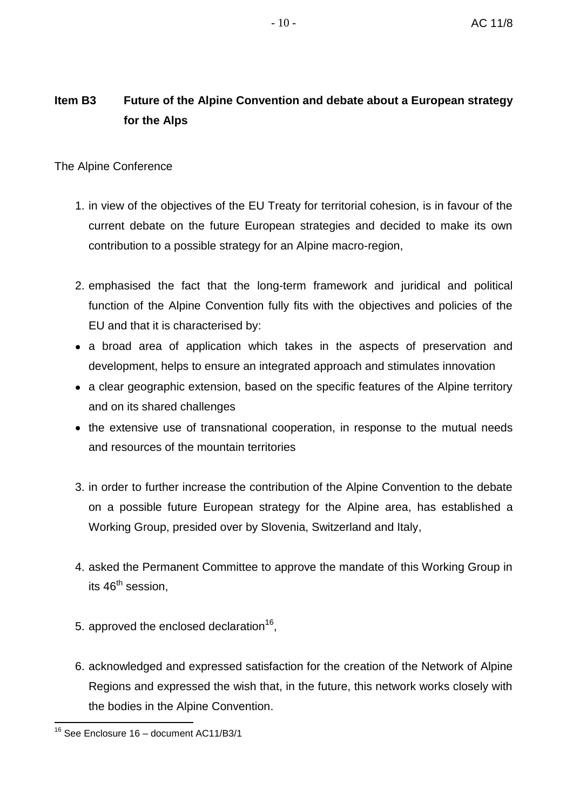### **Item B3 Future of the Alpine Convention and debate about a European strategy for the Alps**

#### The Alpine Conference

- 1. in view of the objectives of the EU Treaty for territorial cohesion, is in favour of the current debate on the future European strategies and decided to make its own contribution to a possible strategy for an Alpine macro-region,
- 2. emphasised the fact that the long-term framework and juridical and political function of the Alpine Convention fully fits with the objectives and policies of the EU and that it is characterised by:
- a broad area of application which takes in the aspects of preservation and development, helps to ensure an integrated approach and stimulates innovation
- a clear geographic extension, based on the specific features of the Alpine territory and on its shared challenges
- the extensive use of transnational cooperation, in response to the mutual needs and resources of the mountain territories
- 3. in order to further increase the contribution of the Alpine Convention to the debate on a possible future European strategy for the Alpine area, has established a Working Group, presided over by Slovenia, Switzerland and Italy,
- 4. asked the Permanent Committee to approve the mandate of this Working Group in its  $46<sup>th</sup>$  session.
- 5. approved the enclosed declaration<sup>16</sup>,
- 6. acknowledged and expressed satisfaction for the creation of the Network of Alpine Regions and expressed the wish that, in the future, this network works closely with the bodies in the Alpine Convention.

<sup>&</sup>lt;sup>16</sup> See Enclosure 16 - document AC11/B3/1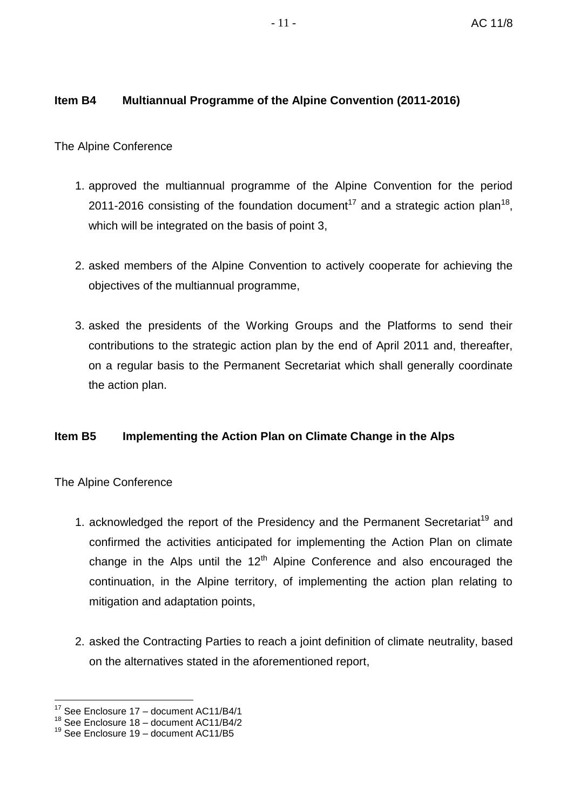#### **Item B4 Multiannual Programme of the Alpine Convention (2011-2016)**

The Alpine Conference

- 1. approved the multiannual programme of the Alpine Convention for the period 2011-2016 consisting of the foundation document<sup>17</sup> and a strategic action plan<sup>18</sup>, which will be integrated on the basis of point 3,
- 2. asked members of the Alpine Convention to actively cooperate for achieving the objectives of the multiannual programme,
- 3. asked the presidents of the Working Groups and the Platforms to send their contributions to the strategic action plan by the end of April 2011 and, thereafter, on a regular basis to the Permanent Secretariat which shall generally coordinate the action plan.

#### **Item B5 Implementing the Action Plan on Climate Change in the Alps**

- 1. acknowledged the report of the Presidency and the Permanent Secretariat<sup>19</sup> and confirmed the activities anticipated for implementing the Action Plan on climate change in the Alps until the  $12<sup>th</sup>$  Alpine Conference and also encouraged the continuation, in the Alpine territory, of implementing the action plan relating to mitigation and adaptation points,
- 2. asked the Contracting Parties to reach a joint definition of climate neutrality, based on the alternatives stated in the aforementioned report,

<sup>1</sup>  $17$  See Enclosure 17 – document AC11/B4/1

<sup>18</sup> See Enclosure 18 – document AC11/B4/2

 $19$  See Enclosure 19 – document AC11/B5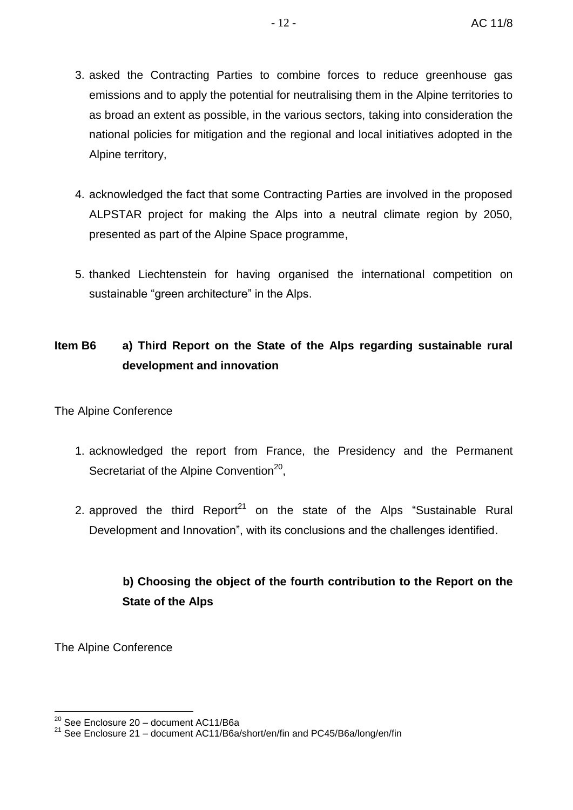- 3. asked the Contracting Parties to combine forces to reduce greenhouse gas emissions and to apply the potential for neutralising them in the Alpine territories to as broad an extent as possible, in the various sectors, taking into consideration the national policies for mitigation and the regional and local initiatives adopted in the Alpine territory,
- 4. acknowledged the fact that some Contracting Parties are involved in the proposed ALPSTAR project for making the Alps into a neutral climate region by 2050, presented as part of the Alpine Space programme,
- 5. thanked Liechtenstein for having organised the international competition on sustainable "green architecture" in the Alps.

## **Item B6 a) Third Report on the State of the Alps regarding sustainable rural development and innovation**

The Alpine Conference

- 1. acknowledged the report from France, the Presidency and the Permanent Secretariat of the Alpine Convention<sup>20</sup>,
- 2. approved the third Report<sup>21</sup> on the state of the Alps "Sustainable Rural Development and Innovation", with its conclusions and the challenges identified.

# **b) Choosing the object of the fourth contribution to the Report on the State of the Alps**

<sup>1</sup>  $20$  See Enclosure 20 – document AC11/B6a

<sup>21</sup> See Enclosure 21 – document AC11/B6a/short/en/fin and PC45/B6a/long/en/fin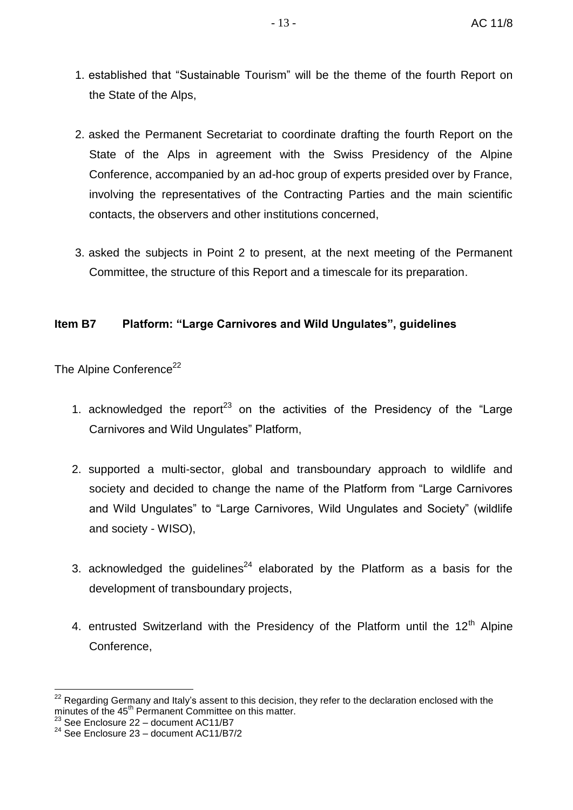- 1. established that "Sustainable Tourism" will be the theme of the fourth Report on the State of the Alps,
- 2. asked the Permanent Secretariat to coordinate drafting the fourth Report on the State of the Alps in agreement with the Swiss Presidency of the Alpine Conference, accompanied by an ad-hoc group of experts presided over by France, involving the representatives of the Contracting Parties and the main scientific contacts, the observers and other institutions concerned,
- 3. asked the subjects in Point 2 to present, at the next meeting of the Permanent Committee, the structure of this Report and a timescale for its preparation.

#### **Item B7 Platform: "Large Carnivores and Wild Ungulates", guidelines**

The Alpine Conference<sup>22</sup>

- 1. acknowledged the report<sup>23</sup> on the activities of the Presidency of the "Large" Carnivores and Wild Ungulates" Platform,
- 2. supported a multi-sector, global and transboundary approach to wildlife and society and decided to change the name of the Platform from "Large Carnivores and Wild Ungulates" to "Large Carnivores, Wild Ungulates and Society" (wildlife and society - WISO),
- 3. acknowledged the guidelines<sup>24</sup> elaborated by the Platform as a basis for the development of transboundary projects,
- 4. entrusted Switzerland with the Presidency of the Platform until the  $12<sup>th</sup>$  Alpine Conference,

 $22$  Regarding Germany and Italy's assent to this decision, they refer to the declaration enclosed with the minutes of the 45<sup>th</sup> Permanent Committee on this matter.

 $^{23}$  See Enclosure 22 – document AC11/B7

 $24$  See Enclosure 23 – document AC11/B7/2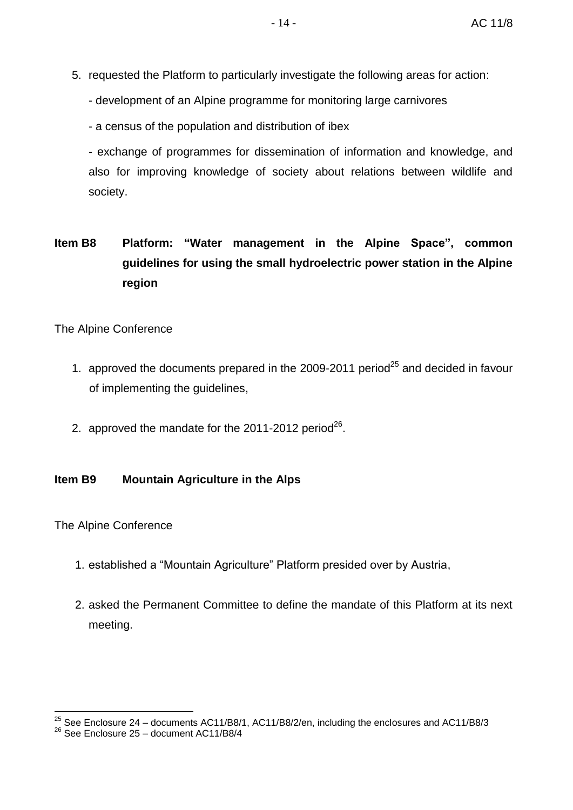- 5. requested the Platform to particularly investigate the following areas for action:
	- development of an Alpine programme for monitoring large carnivores
	- a census of the population and distribution of ibex

- exchange of programmes for dissemination of information and knowledge, and also for improving knowledge of society about relations between wildlife and society.

# **Item B8 Platform: "Water management in the Alpine Space", common guidelines for using the small hydroelectric power station in the Alpine region**

#### The Alpine Conference

- 1. approved the documents prepared in the 2009-2011 period<sup>25</sup> and decided in favour of implementing the guidelines,
- 2. approved the mandate for the 2011-2012 period<sup>26</sup>.

#### **Item B9 Mountain Agriculture in the Alps**

The Alpine Conference

1

- 1. established a "Mountain Agriculture" Platform presided over by Austria,
- 2. asked the Permanent Committee to define the mandate of this Platform at its next meeting.

<sup>&</sup>lt;sup>25</sup> See Enclosure 24 – documents AC11/B8/1, AC11/B8/2/en, including the enclosures and AC11/B8/3

<sup>26</sup> See Enclosure 25 – document AC11/B8/4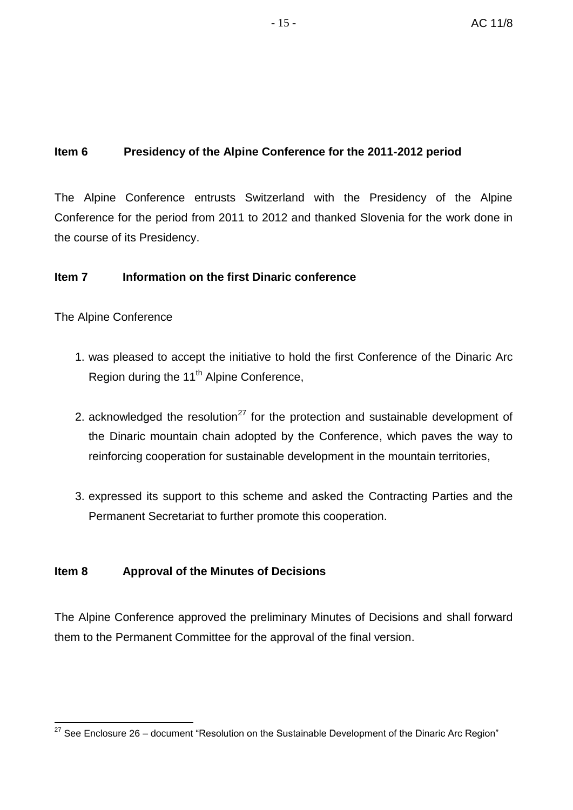#### **Item 6 Presidency of the Alpine Conference for the 2011-2012 period**

The Alpine Conference entrusts Switzerland with the Presidency of the Alpine Conference for the period from 2011 to 2012 and thanked Slovenia for the work done in the course of its Presidency.

#### **Item 7 Information on the first Dinaric conference**

The Alpine Conference

- 1. was pleased to accept the initiative to hold the first Conference of the Dinaric Arc Region during the 11<sup>th</sup> Alpine Conference,
- 2. acknowledged the resolution<sup>27</sup> for the protection and sustainable development of the Dinaric mountain chain adopted by the Conference, which paves the way to reinforcing cooperation for sustainable development in the mountain territories,
- 3. expressed its support to this scheme and asked the Contracting Parties and the Permanent Secretariat to further promote this cooperation.

#### **Item 8 Approval of the Minutes of Decisions**

The Alpine Conference approved the preliminary Minutes of Decisions and shall forward them to the Permanent Committee for the approval of the final version.

<sup>&</sup>lt;u>.</u>  $27$  See Enclosure 26 – document "Resolution on the Sustainable Development of the Dinaric Arc Region"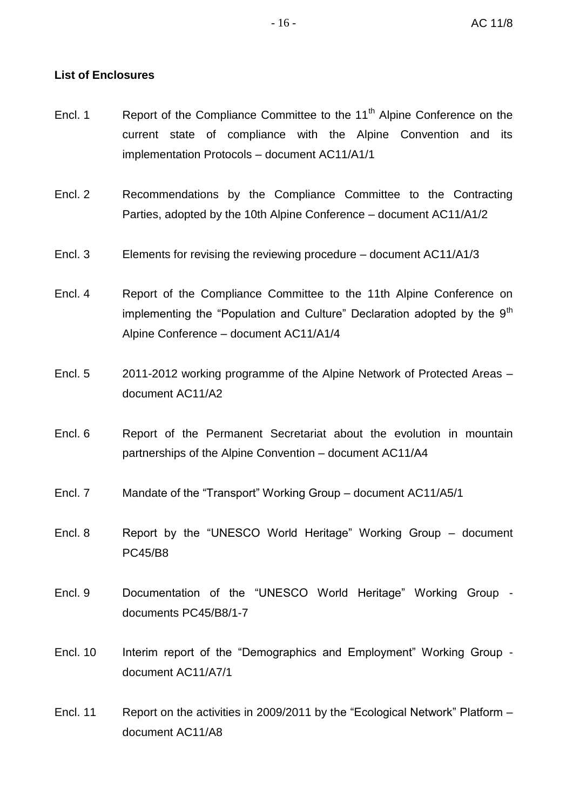#### **List of Enclosures**

- Encl. 1 Report of the Compliance Committee to the  $11<sup>th</sup>$  Alpine Conference on the current state of compliance with the Alpine Convention and its implementation Protocols – document AC11/A1/1
- Encl. 2 Recommendations by the Compliance Committee to the Contracting Parties, adopted by the 10th Alpine Conference – document AC11/A1/2
- Encl. 3 Elements for revising the reviewing procedure document AC11/A1/3
- Encl. 4 Report of the Compliance Committee to the 11th Alpine Conference on implementing the "Population and Culture" Declaration adopted by the  $9<sup>th</sup>$ Alpine Conference – document AC11/A1/4
- Encl. 5 2011-2012 working programme of the Alpine Network of Protected Areas document AC11/A2
- Encl. 6 Report of the Permanent Secretariat about the evolution in mountain partnerships of the Alpine Convention – document AC11/A4
- Encl. 7 Mandate of the "Transport" Working Group document AC11/A5/1
- Encl. 8 Report by the "UNESCO World Heritage" Working Group document PC45/B8
- Encl. 9 Documentation of the "UNESCO World Heritage" Working Group documents PC45/B8/1-7
- Encl. 10 Interim report of the "Demographics and Employment" Working Group document AC11/A7/1
- Encl. 11 Report on the activities in 2009/2011 by the "Ecological Network" Platform document AC11/A8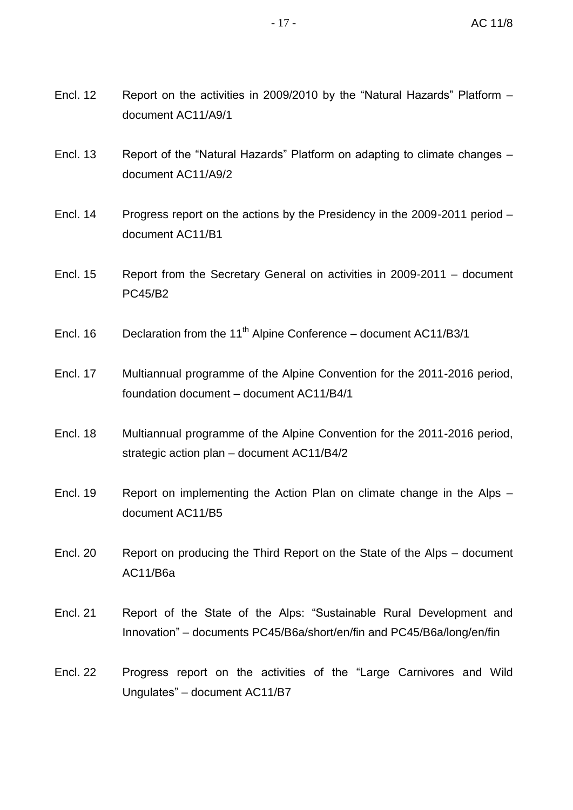- Encl. 12 Report on the activities in 2009/2010 by the "Natural Hazards" Platform document AC11/A9/1
- Encl. 13 Report of the "Natural Hazards" Platform on adapting to climate changes document AC11/A9/2
- Encl. 14 Progress report on the actions by the Presidency in the 2009-2011 period document AC11/B1
- Encl. 15 Report from the Secretary General on activities in 2009-2011 document PC45/B2
- Encl. 16 Declaration from the 11<sup>th</sup> Alpine Conference document AC11/B3/1
- Encl. 17 Multiannual programme of the Alpine Convention for the 2011-2016 period, foundation document – document AC11/B4/1
- Encl. 18 Multiannual programme of the Alpine Convention for the 2011-2016 period, strategic action plan – document AC11/B4/2
- Encl. 19 Report on implementing the Action Plan on climate change in the Alps document AC11/B5
- Encl. 20 Report on producing the Third Report on the State of the Alps document AC11/B6a
- Encl. 21 Report of the State of the Alps: "Sustainable Rural Development and Innovation" – documents PC45/B6a/short/en/fin and PC45/B6a/long/en/fin
- Encl. 22 Progress report on the activities of the "Large Carnivores and Wild Ungulates" – document AC11/B7